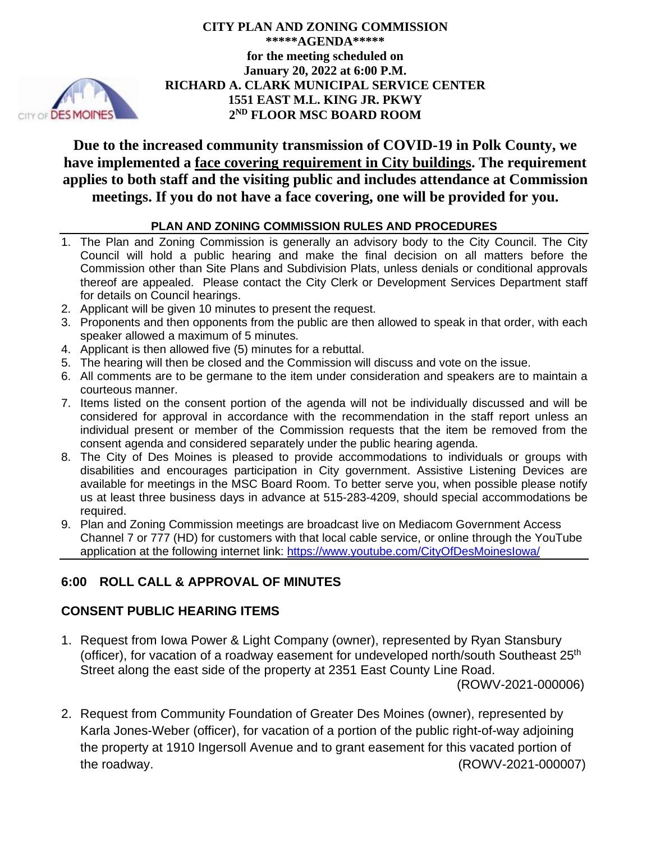

**CITY PLAN AND ZONING COMMISSION \*\*\*\*\*AGENDA\*\*\*\*\* for the meeting scheduled on January 20, 2022 at 6:00 P.M. RICHARD A. CLARK MUNICIPAL SERVICE CENTER 1551 EAST M.L. KING JR. PKWY 2 ND FLOOR MSC BOARD ROOM** 

**Due to the increased community transmission of COVID-19 in Polk County, we have implemented a face covering requirement in City buildings. The requirement applies to both staff and the visiting public and includes attendance at Commission meetings. If you do not have a face covering, one will be provided for you.** 

#### **PLAN AND ZONING COMMISSION RULES AND PROCEDURES**

- 1. The Plan and Zoning Commission is generally an advisory body to the City Council. The City Council will hold a public hearing and make the final decision on all matters before the Commission other than Site Plans and Subdivision Plats, unless denials or conditional approvals thereof are appealed. Please contact the City Clerk or Development Services Department staff for details on Council hearings.
- 2. Applicant will be given 10 minutes to present the request.
- 3. Proponents and then opponents from the public are then allowed to speak in that order, with each speaker allowed a maximum of 5 minutes.
- 4. Applicant is then allowed five (5) minutes for a rebuttal.
- 5. The hearing will then be closed and the Commission will discuss and vote on the issue.
- 6. All comments are to be germane to the item under consideration and speakers are to maintain a courteous manner.
- 7. Items listed on the consent portion of the agenda will not be individually discussed and will be considered for approval in accordance with the recommendation in the staff report unless an individual present or member of the Commission requests that the item be removed from the consent agenda and considered separately under the public hearing agenda.
- 8. The City of Des Moines is pleased to provide accommodations to individuals or groups with disabilities and encourages participation in City government. Assistive Listening Devices are available for meetings in the MSC Board Room. To better serve you, when possible please notify us at least three business days in advance at 515-283-4209, should special accommodations be required.
- 9. Plan and Zoning Commission meetings are broadcast live on Mediacom Government Access Channel 7 or 777 (HD) for customers with that local cable service, or online through the YouTube application at the following internet link: https://www.youtube.com/CityOfDesMoinesIowa/

# **6:00 ROLL CALL & APPROVAL OF MINUTES**

## **CONSENT PUBLIC HEARING ITEMS**

1. Request from Iowa Power & Light Company (owner), represented by Ryan Stansbury (officer), for vacation of a roadway easement for undeveloped north/south Southeast 25<sup>th</sup> Street along the east side of the property at 2351 East County Line Road.

(ROWV-2021-000006)

2. Request from Community Foundation of Greater Des Moines (owner), represented by Karla Jones-Weber (officer), for vacation of a portion of the public right-of-way adjoining the property at 1910 Ingersoll Avenue and to grant easement for this vacated portion of the roadway. (ROWV-2021-000007)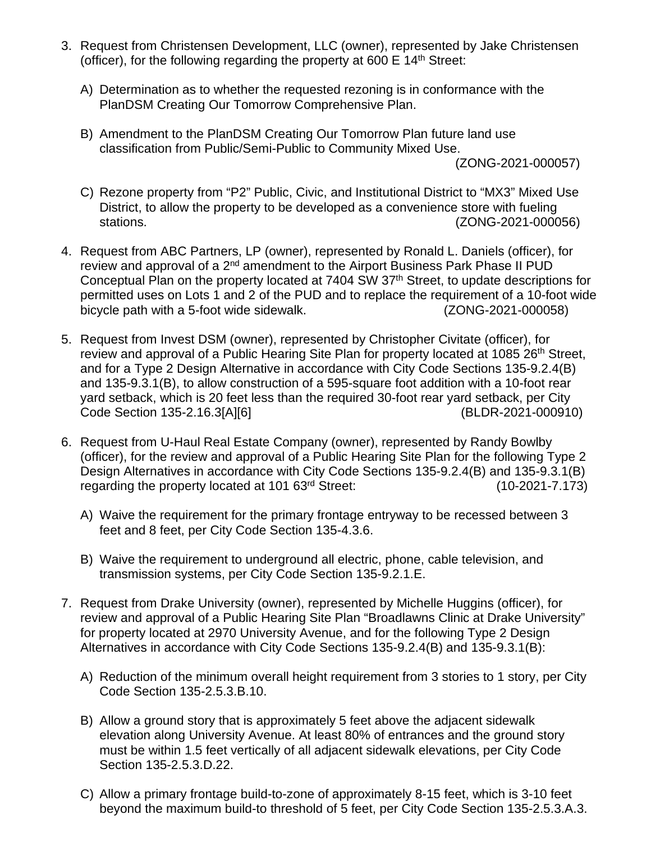- 3. Request from Christensen Development, LLC (owner), represented by Jake Christensen (officer), for the following regarding the property at 600  $E$  14<sup>th</sup> Street:
	- A) Determination as to whether the requested rezoning is in conformance with the PlanDSM Creating Our Tomorrow Comprehensive Plan.
	- B) Amendment to the PlanDSM Creating Our Tomorrow Plan future land use classification from Public/Semi-Public to Community Mixed Use.

(ZONG-2021-000057)

- C) Rezone property from "P2" Public, Civic, and Institutional District to "MX3" Mixed Use District, to allow the property to be developed as a convenience store with fueling stations. (ZONG-2021-000056)
- 4. Request from ABC Partners, LP (owner), represented by Ronald L. Daniels (officer), for review and approval of a 2<sup>nd</sup> amendment to the Airport Business Park Phase II PUD Conceptual Plan on the property located at 7404 SW 37<sup>th</sup> Street, to update descriptions for permitted uses on Lots 1 and 2 of the PUD and to replace the requirement of a 10-foot wide bicycle path with a 5-foot wide sidewalk. (ZONG-2021-000058)
- 5. Request from Invest DSM (owner), represented by Christopher Civitate (officer), for review and approval of a Public Hearing Site Plan for property located at 1085 26<sup>th</sup> Street, and for a Type 2 Design Alternative in accordance with City Code Sections 135-9.2.4(B) and 135-9.3.1(B), to allow construction of a 595-square foot addition with a 10-foot rear yard setback, which is 20 feet less than the required 30-foot rear yard setback, per City Code Section 135-2.16.3[A][6] (BLDR-2021-000910)
- 6. Request from U-Haul Real Estate Company (owner), represented by Randy Bowlby (officer), for the review and approval of a Public Hearing Site Plan for the following Type 2 Design Alternatives in accordance with City Code Sections 135-9.2.4(B) and 135-9.3.1(B) regarding the property located at 101 63rd Street: (10-2021-7.173)
	- A) Waive the requirement for the primary frontage entryway to be recessed between 3 feet and 8 feet, per City Code Section 135-4.3.6.
	- B) Waive the requirement to underground all electric, phone, cable television, and transmission systems, per City Code Section 135-9.2.1.E.
- 7. Request from Drake University (owner), represented by Michelle Huggins (officer), for review and approval of a Public Hearing Site Plan "Broadlawns Clinic at Drake University" for property located at 2970 University Avenue, and for the following Type 2 Design Alternatives in accordance with City Code Sections 135-9.2.4(B) and 135-9.3.1(B):
	- A) Reduction of the minimum overall height requirement from 3 stories to 1 story, per City Code Section 135-2.5.3.B.10.
	- B) Allow a ground story that is approximately 5 feet above the adjacent sidewalk elevation along University Avenue. At least 80% of entrances and the ground story must be within 1.5 feet vertically of all adjacent sidewalk elevations, per City Code Section 135-2.5.3.D.22.
	- C) Allow a primary frontage build-to-zone of approximately 8-15 feet, which is 3-10 feet beyond the maximum build-to threshold of 5 feet, per City Code Section 135-2.5.3.A.3.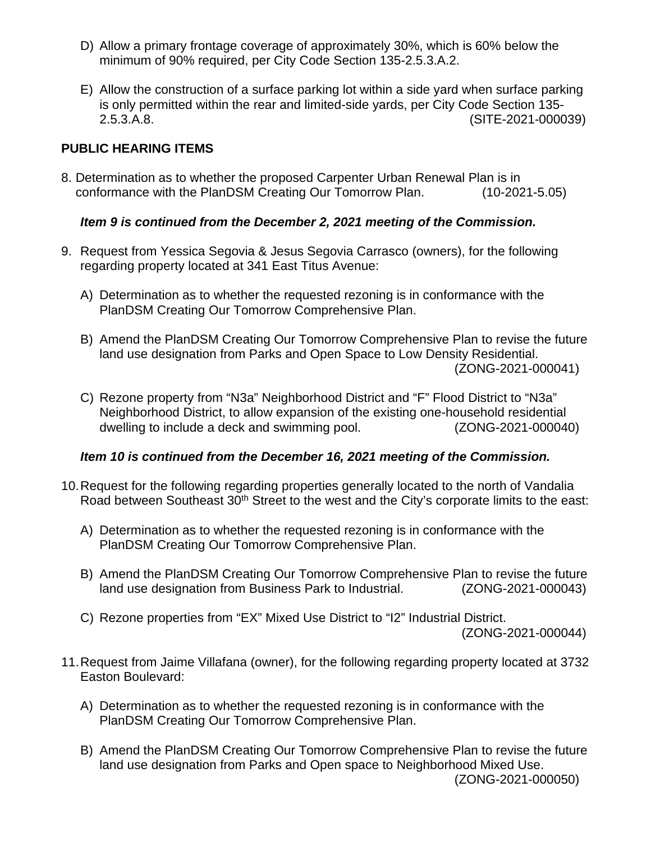- D) Allow a primary frontage coverage of approximately 30%, which is 60% below the minimum of 90% required, per City Code Section 135-2.5.3.A.2.
- E) Allow the construction of a surface parking lot within a side yard when surface parking is only permitted within the rear and limited-side yards, per City Code Section 135- 2.5.3.A.8. (SITE-2021-000039)

## **PUBLIC HEARING ITEMS**

8. Determination as to whether the proposed Carpenter Urban Renewal Plan is in conformance with the PlanDSM Creating Our Tomorrow Plan. (10-2021-5.05)

#### *Item 9 is continued from the December 2, 2021 meeting of the Commission.*

- 9. Request from Yessica Segovia & Jesus Segovia Carrasco (owners), for the following regarding property located at 341 East Titus Avenue:
	- A) Determination as to whether the requested rezoning is in conformance with the PlanDSM Creating Our Tomorrow Comprehensive Plan.
	- B) Amend the PlanDSM Creating Our Tomorrow Comprehensive Plan to revise the future land use designation from Parks and Open Space to Low Density Residential. (ZONG-2021-000041)
	- C) Rezone property from "N3a" Neighborhood District and "F" Flood District to "N3a" Neighborhood District, to allow expansion of the existing one-household residential dwelling to include a deck and swimming pool. (ZONG-2021-000040)

#### *Item 10 is continued from the December 16, 2021 meeting of the Commission.*

- 10. Request for the following regarding properties generally located to the north of Vandalia Road between Southeast 30<sup>th</sup> Street to the west and the City's corporate limits to the east:
	- A) Determination as to whether the requested rezoning is in conformance with the PlanDSM Creating Our Tomorrow Comprehensive Plan.
	- B) Amend the PlanDSM Creating Our Tomorrow Comprehensive Plan to revise the future land use designation from Business Park to Industrial. (ZONG-2021-000043)
	- C) Rezone properties from "EX" Mixed Use District to "I2" Industrial District.

(ZONG-2021-000044)

- 11. Request from Jaime Villafana (owner), for the following regarding property located at 3732 Easton Boulevard:
	- A) Determination as to whether the requested rezoning is in conformance with the PlanDSM Creating Our Tomorrow Comprehensive Plan.
	- B) Amend the PlanDSM Creating Our Tomorrow Comprehensive Plan to revise the future land use designation from Parks and Open space to Neighborhood Mixed Use. (ZONG-2021-000050)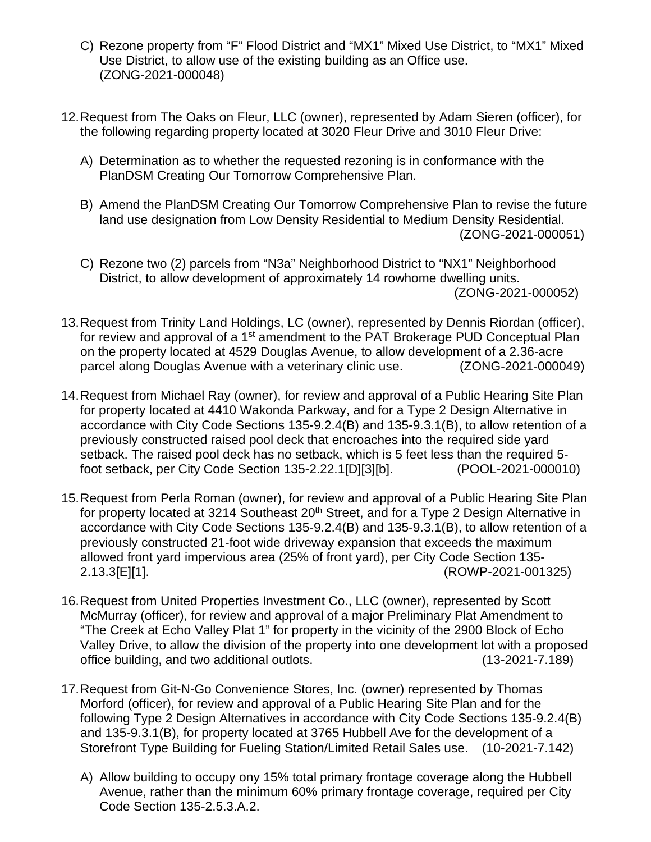- C) Rezone property from "F" Flood District and "MX1" Mixed Use District, to "MX1" Mixed Use District, to allow use of the existing building as an Office use. (ZONG-2021-000048)
- 12. Request from The Oaks on Fleur, LLC (owner), represented by Adam Sieren (officer), for the following regarding property located at 3020 Fleur Drive and 3010 Fleur Drive:
	- A) Determination as to whether the requested rezoning is in conformance with the PlanDSM Creating Our Tomorrow Comprehensive Plan.
	- B) Amend the PlanDSM Creating Our Tomorrow Comprehensive Plan to revise the future land use designation from Low Density Residential to Medium Density Residential. (ZONG-2021-000051)
	- C) Rezone two (2) parcels from "N3a" Neighborhood District to "NX1" Neighborhood District, to allow development of approximately 14 rowhome dwelling units. (ZONG-2021-000052)
- 13. Request from Trinity Land Holdings, LC (owner), represented by Dennis Riordan (officer), for review and approval of a 1<sup>st</sup> amendment to the PAT Brokerage PUD Conceptual Plan on the property located at 4529 Douglas Avenue, to allow development of a 2.36-acre parcel along Douglas Avenue with a veterinary clinic use. (ZONG-2021-000049)
- 14. Request from Michael Ray (owner), for review and approval of a Public Hearing Site Plan for property located at 4410 Wakonda Parkway, and for a Type 2 Design Alternative in accordance with City Code Sections 135-9.2.4(B) and 135-9.3.1(B), to allow retention of a previously constructed raised pool deck that encroaches into the required side yard setback. The raised pool deck has no setback, which is 5 feet less than the required 5 foot setback, per City Code Section 135-2.22.1[D][3][b]. (POOL-2021-000010)
- 15. Request from Perla Roman (owner), for review and approval of a Public Hearing Site Plan for property located at 3214 Southeast 20<sup>th</sup> Street, and for a Type 2 Design Alternative in accordance with City Code Sections 135-9.2.4(B) and 135-9.3.1(B), to allow retention of a previously constructed 21-foot wide driveway expansion that exceeds the maximum allowed front yard impervious area (25% of front yard), per City Code Section 135- 2.13.3[E][1]. (ROWP-2021-001325)
- 16. Request from United Properties Investment Co., LLC (owner), represented by Scott McMurray (officer), for review and approval of a major Preliminary Plat Amendment to "The Creek at Echo Valley Plat 1" for property in the vicinity of the 2900 Block of Echo Valley Drive, to allow the division of the property into one development lot with a proposed office building, and two additional outlots. (13-2021-7.189)
- 17. Request from Git-N-Go Convenience Stores, Inc. (owner) represented by Thomas Morford (officer), for review and approval of a Public Hearing Site Plan and for the following Type 2 Design Alternatives in accordance with City Code Sections 135-9.2.4(B) and 135-9.3.1(B), for property located at 3765 Hubbell Ave for the development of a Storefront Type Building for Fueling Station/Limited Retail Sales use. (10-2021-7.142)
	- A) Allow building to occupy ony 15% total primary frontage coverage along the Hubbell Avenue, rather than the minimum 60% primary frontage coverage, required per City Code Section 135-2.5.3.A.2.